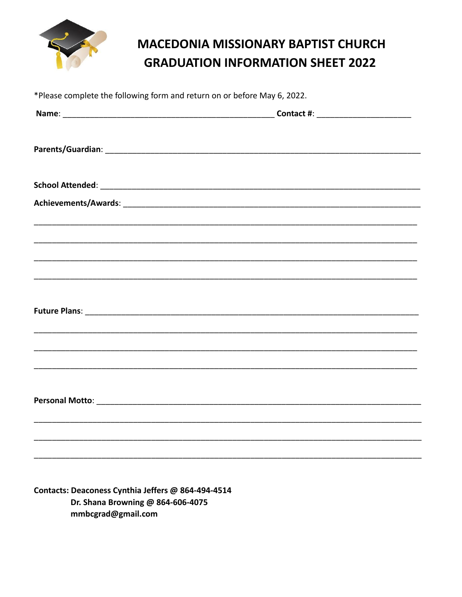

## **MACEDONIA MISSIONARY BAPTIST CHURCH GRADUATION INFORMATION SHEET 2022**

| *Please complete the following form and return on or before May 6, 2022. |  |  |
|--------------------------------------------------------------------------|--|--|
|                                                                          |  |  |
|                                                                          |  |  |
|                                                                          |  |  |
|                                                                          |  |  |
|                                                                          |  |  |
|                                                                          |  |  |
|                                                                          |  |  |
|                                                                          |  |  |
|                                                                          |  |  |
|                                                                          |  |  |
|                                                                          |  |  |
|                                                                          |  |  |
|                                                                          |  |  |
|                                                                          |  |  |
|                                                                          |  |  |

Contacts: Deaconess Cynthia Jeffers @ 864-494-4514 Dr. Shana Browning @ 864-606-4075 mmbcgrad@gmail.com